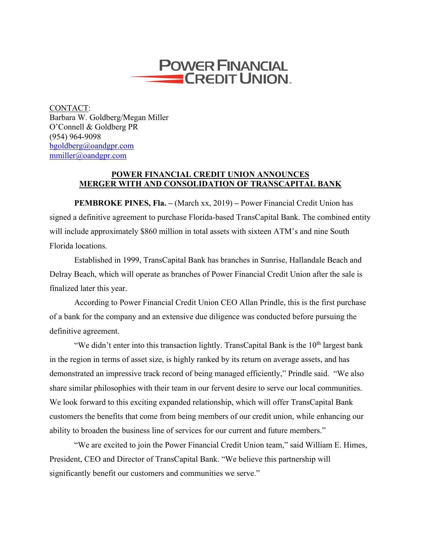

CONTACT: Barbara W. Goldberg/Megan Miller O'Connell & Goldberg PR (954) 964-9098 bgoldberg@oandgpr.com mmiller@oandgpr.com

## **POWER FINANCIAL CREDIT UNION ANNOUNCES MERGER WITH AND CONSOLIDATION OF TRANSCAPITAL BANK**

**PEMBROKE PINES, Fla. –** (March xx, 2019) **–** Power Financial Credit Union has signed a definitive agreement to purchase Florida-based TransCapital Bank. The combined entity will include approximately \$860 million in total assets with sixteen ATM's and nine South Florida locations.

Established in 1999, TransCapital Bank has branches in Sunrise, Hallandale Beach and Delray Beach, which will operate as branches of Power Financial Credit Union after the sale is finalized later this year.

According to Power Financial Credit Union CEO Allan Prindle, this is the first purchase of a bank for the company and an extensive due diligence was conducted before pursuing the definitive agreement.

"We didn't enter into this transaction lightly. TransCapital Bank is the  $10<sup>th</sup>$  largest bank in the region in terms of asset size, is highly ranked by its return on average assets, and has demonstrated an impressive track record of being managed efficiently," Prindle said. "We also share similar philosophies with their team in our fervent desire to serve our local communities. We look forward to this exciting expanded relationship, which will offer TransCapital Bank customers the benefits that come from being members of our credit union, while enhancing our ability to broaden the business line of services for our current and future members."

"We are excited to join the Power Financial Credit Union team," said William E. Himes, President, CEO and Director of TransCapital Bank. "We believe this partnership will significantly benefit our customers and communities we serve."